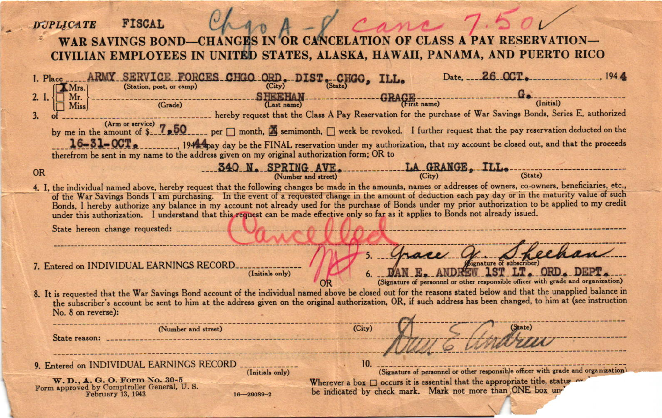| Cane 1.50v<br><b>FISCAL</b><br><b>DUPLICATE</b>                                                                                                                                                                                                                                                                                                                                                                                                                                                                                                                                                                               |  |
|-------------------------------------------------------------------------------------------------------------------------------------------------------------------------------------------------------------------------------------------------------------------------------------------------------------------------------------------------------------------------------------------------------------------------------------------------------------------------------------------------------------------------------------------------------------------------------------------------------------------------------|--|
| N OF CLASS A<br><b>WAR SAVINGS BOND-</b><br><b>IN OR O</b><br>CIVILIAN EMPLOYEES IN UNITED STATES, ALASKA, HAWAII, PANAMA, AND PUERTO RICO                                                                                                                                                                                                                                                                                                                                                                                                                                                                                    |  |
| Date, 26 OCT.<br>ARMY SERVICE FORCES CHGO ORD. DIST. CHGO.<br>1. Place<br>(Station, post, or camp)<br>(City)<br>(State)<br><b>Mrs.</b><br><b>SHEEHAN</b>                                                                                                                                                                                                                                                                                                                                                                                                                                                                      |  |
| Mr.<br>(Initial)<br>(Last name)<br>(Grade)<br><b>Miss</b><br>________ hereby request that the Class A Pay Reservation for the purchase of War Savings Bonds, Series E, authorized<br>3.                                                                                                                                                                                                                                                                                                                                                                                                                                       |  |
| by me in the amount of \$27,50 per month, <b>A</b> semimonth, week be revoked. I further request that the pay reservation deducted on the<br>$16 - 31 - 00T$ .<br>1944 apay day be the FINAL reservation under my authorization, that my account be closed out, and that the proceeds<br>therefrom be sent in my name to the address given on my original authorization form; OR to                                                                                                                                                                                                                                           |  |
| 340 N. SPRING AVE.<br>(Number and street)<br>$\frac{L}{City}$ GRANGE, ILL. (State)<br><b>OR</b>                                                                                                                                                                                                                                                                                                                                                                                                                                                                                                                               |  |
| 4. I, the individual named above, hereby request that the following changes be made in the amounts, names or addresses of owners, co-owners, beneficiaries, etc.,<br>of the War Savings Bonds I am purchasing. In the event of a requested change in the amount of deduction each pay day or in the maturity value of such<br>Bonds, I hereby authorize any balance in my account not already used for the purchase of Bonds under my prior authorization to be applied to my credit<br>under this authorization. I understand that this request can be made effective only so far as it applies to Bonds not already issued. |  |
|                                                                                                                                                                                                                                                                                                                                                                                                                                                                                                                                                                                                                               |  |
| <i>(bignature of subscriber)</i><br>7. Entered on INDIVIDUAL EARNINGS RECORD<br>LT. ORD. DEPT.<br>(Initials only)<br>(Signature of personnel or other responsible officer with grade and organization)                                                                                                                                                                                                                                                                                                                                                                                                                        |  |
| 8. It is requested that the War Savings Bond account of the individual named above be closed out for the reasons stated below and that the unapplied balance in<br>the subscriber's account be sent to him at the address given on the original authorization, OR, if such address has been changed, to him at (see instruction<br>No. 8 on reverse):                                                                                                                                                                                                                                                                         |  |
| (City)<br>(State)<br>(Number and street)                                                                                                                                                                                                                                                                                                                                                                                                                                                                                                                                                                                      |  |
| 10.<br>9. Entered on INDIVIDUAL EARNINGS RECORD _____________<br>(Signature of personnel or other responsible officer with grade and organization)<br>(Initials only)                                                                                                                                                                                                                                                                                                                                                                                                                                                         |  |
| W. D., A. G. O. Form No. 30-5<br>Wherever a box $\Box$ occurs it is essential that the appropriate title, status or<br>Form approved by Comptroller General, U.S.<br>be indicated by check mark. Mark not more than ONE box un'<br>February 13, 1943<br>$16 - 29089 - 2$                                                                                                                                                                                                                                                                                                                                                      |  |

r.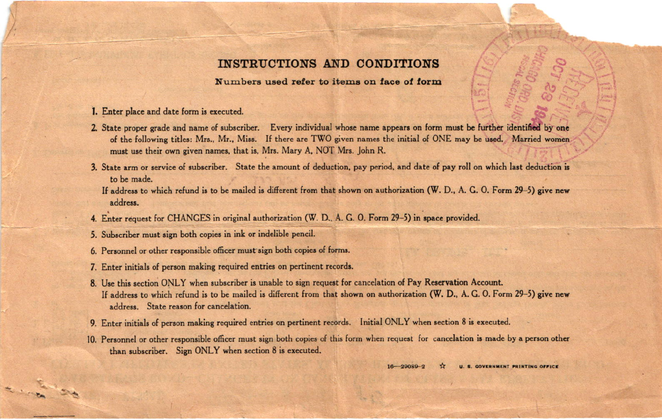## INSTRUCTIONS AND CONDITIONS

## Numbers used refer to items on face of form

- 1. Enter place and date form is executed.
- 2. State proper grade and name of subscriber. Every individual whose name appears on form must be further identified by one of the following titles: Mrs., Mr., Miss. If there are TWO given names the initial of ONE may be used. Married women must use their own given names, that is, Mrs. Mary A, NOT Mrs. John R.
- 3. State arm or service of subscriber. State the amount of deduction, pay period, and date of pay roll on which last deduction is to be made.

If address to which refund is to be mailed is different from that shown on authorization (W. D., A. G. O. Form 29-5) give new address.

- 4. Enter request for CHANGES in original authorization (W. D., A. G. O. Form 29-5) in space provided.
- 5. Subscriber must sign both copies in ink or indelible pencil.
- 6. Personnel or other responsible officer must sign both copies of forms.
- 7. Enter initials of person making required entries on pertinent records.
- 8. Use this section ONLY when subscriber is unable to sign request for cancelation of Pay Reservation Account. If address to which refund is to be mailed is different from that shown on authorization (W. D., A. G. O. Form 29-5) give new address. State reason for cancelation.
- 9. Enter initials of person making required entries on pertinent records. Initial ONLY when section 8 is executed.
- 10. Personnel or other responsible officer must sign both copies of this form when request for cancelation is made by a person other than subscriber. Sign ONLY when section 8 is executed.